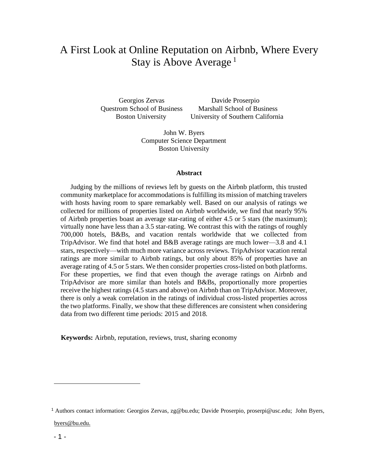# A First Look at Online Reputation on Airbnb, Where Every Stay is Above Average<sup>1</sup>

Georgios Zervas Davide Proserpio Questrom School of Business Marshall School of Business Boston University University of Southern California

> John W. Byers Computer Science Department Boston University

#### **Abstract**

Judging by the millions of reviews left by guests on the Airbnb platform, this trusted community marketplace for accommodations is fulfilling its mission of matching travelers with hosts having room to spare remarkably well. Based on our analysis of ratings we collected for millions of properties listed on Airbnb worldwide, we find that nearly 95% of Airbnb properties boast an average star-rating of either 4.5 or 5 stars (the maximum); virtually none have less than a 3.5 star-rating. We contrast this with the ratings of roughly 700,000 hotels, B&Bs, and vacation rentals worldwide that we collected from TripAdvisor. We find that hotel and B&B average ratings are much lower—3.8 and 4.1 stars, respectively—with much more variance across reviews. TripAdvisor vacation rental ratings are more similar to Airbnb ratings, but only about 85% of properties have an average rating of 4.5 or 5 stars. We then consider properties cross-listed on both platforms. For these properties, we find that even though the average ratings on Airbnb and TripAdvisor are more similar than hotels and B&Bs, proportionally more properties receive the highest ratings (4.5 stars and above) on Airbnb than on TripAdvisor. Moreover, there is only a weak correlation in the ratings of individual cross-listed properties across the two platforms. Finally, we show that these differences are consistent when considering data from two different time periods: 2015 and 2018.

 **Keywords:** Airbnb, reputation, reviews, trust, sharing economy

<sup>1</sup> Authors contact information: Georgios Zervas, zg@bu.edu; Davide Proserpio, proserpi@usc.edu; John Byers, [byers@bu.edu.](mailto:byers@bu.edu)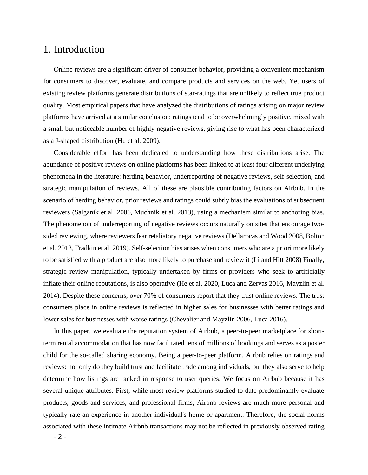## 1. Introduction

Online reviews are a significant driver of consumer behavior, providing a convenient mechanism for consumers to discover, evaluate, and compare products and services on the web. Yet users of existing review platforms generate distributions of star-ratings that are unlikely to reflect true product quality. Most empirical papers that have analyzed the distributions of ratings arising on major review platforms have arrived at a similar conclusion: ratings tend to be overwhelmingly positive, mixed with a small but noticeable number of highly negative reviews, giving rise to what has been characterized as a J-shaped distribution (Hu et al. 2009).

Considerable effort has been dedicated to understanding how these distributions arise. The abundance of positive reviews on online platforms has been linked to at least four different underlying phenomena in the literature: herding behavior, underreporting of negative reviews, self-selection, and strategic manipulation of reviews. All of these are plausible contributing factors on Airbnb. In the scenario of herding behavior, prior reviews and ratings could subtly bias the evaluations of subsequent reviewers (Salganik et al. 2006, Muchnik et al. 2013), using a mechanism similar to anchoring bias. The phenomenon of underreporting of negative reviews occurs naturally on sites that encourage twosided reviewing, where reviewers fear retaliatory negative reviews (Dellarocas and Wood 2008, Bolton et al. 2013, Fradkin et al. 2019). Self-selection bias arises when consumers who are a priori more likely to be satisfied with a product are also more likely to purchase and review it (Li and Hitt 2008) Finally, strategic review manipulation, typically undertaken by firms or providers who seek to artificially inflate their online reputations, is also operative (He et al. 2020, Luca and Zervas 2016, Mayzlin et al. 2014). Despite these concerns, over 70% of consumers report that they trust online reviews. The trust consumers place in online reviews is reflected in higher sales for businesses with better ratings and lower sales for businesses with worse ratings (Chevalier and Mayzlin 2006, Luca 2016).

In this paper, we evaluate the reputation system of Airbnb, a peer-to-peer marketplace for shortterm rental accommodation that has now facilitated tens of millions of bookings and serves as a poster child for the so-called sharing economy. Being a peer-to-peer platform, Airbnb relies on ratings and reviews: not only do they build trust and facilitate trade among individuals, but they also serve to help determine how listings are ranked in response to user queries. We focus on Airbnb because it has several unique attributes. First, while most review platforms studied to date predominantly evaluate products, goods and services, and professional firms, Airbnb reviews are much more personal and typically rate an experience in another individual's home or apartment. Therefore, the social norms associated with these intimate Airbnb transactions may not be reflected in previously observed rating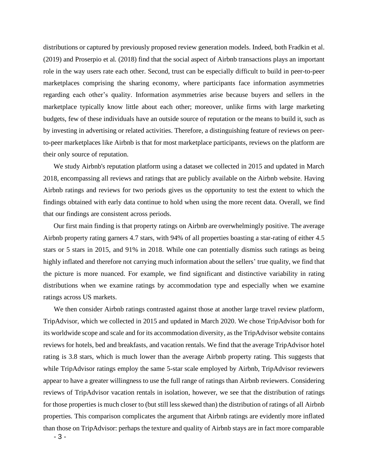distributions or captured by previously proposed review generation models. Indeed, both Fradkin et al. (2019) and Proserpio et al. (2018) find that the social aspect of Airbnb transactions plays an important role in the way users rate each other. Second, trust can be especially difficult to build in peer-to-peer marketplaces comprising the sharing economy, where participants face information asymmetries regarding each other's quality. Information asymmetries arise because buyers and sellers in the marketplace typically know little about each other; moreover, unlike firms with large marketing budgets, few of these individuals have an outside source of reputation or the means to build it, such as by investing in advertising or related activities. Therefore, a distinguishing feature of reviews on peerto-peer marketplaces like Airbnb is that for most marketplace participants, reviews on the platform are their only source of reputation.

We study Airbnb's reputation platform using a dataset we collected in 2015 and updated in March 2018, encompassing all reviews and ratings that are publicly available on the Airbnb website. Having Airbnb ratings and reviews for two periods gives us the opportunity to test the extent to which the findings obtained with early data continue to hold when using the more recent data. Overall, we find that our findings are consistent across periods.

Our first main finding is that property ratings on Airbnb are overwhelmingly positive. The average Airbnb property rating garners 4.7 stars, with 94% of all properties boasting a star-rating of either 4.5 stars or 5 stars in 2015, and 91% in 2018. While one can potentially dismiss such ratings as being highly inflated and therefore not carrying much information about the sellers' true quality, we find that the picture is more nuanced. For example, we find significant and distinctive variability in rating distributions when we examine ratings by accommodation type and especially when we examine ratings across US markets.

We then consider Airbnb ratings contrasted against those at another large travel review platform, TripAdvisor, which we collected in 2015 and updated in March 2020. We chose TripAdvisor both for its worldwide scope and scale and for its accommodation diversity, as the TripAdvisor website contains reviews for hotels, bed and breakfasts, and vacation rentals. We find that the average TripAdvisor hotel rating is 3.8 stars, which is much lower than the average Airbnb property rating. This suggests that while TripAdvisor ratings employ the same 5-star scale employed by Airbnb, TripAdvisor reviewers appear to have a greater willingness to use the full range of ratings than Airbnb reviewers. Considering reviews of TripAdvisor vacation rentals in isolation, however, we see that the distribution of ratings for those properties is much closer to (but still less skewed than) the distribution of ratings of all Airbnb properties. This comparison complicates the argument that Airbnb ratings are evidently more inflated than those on TripAdvisor: perhaps the texture and quality of Airbnb stays are in fact more comparable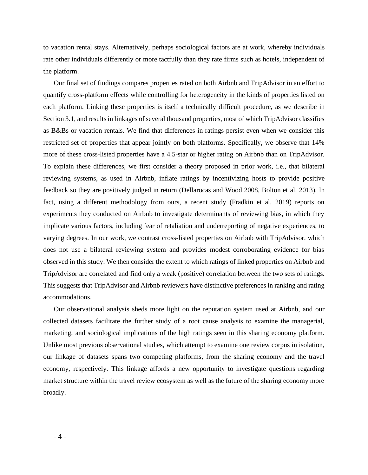to vacation rental stays. Alternatively, perhaps sociological factors are at work, whereby individuals rate other individuals differently or more tactfully than they rate firms such as hotels, independent of the platform.

Our final set of findings compares properties rated on both Airbnb and TripAdvisor in an effort to quantify cross-platform effects while controlling for heterogeneity in the kinds of properties listed on each platform. Linking these properties is itself a technically difficult procedure, as we describe in Section 3.1, and results in linkages of several thousand properties, most of which TripAdvisor classifies as B&Bs or vacation rentals. We find that differences in ratings persist even when we consider this restricted set of properties that appear jointly on both platforms. Specifically, we observe that 14% more of these cross-listed properties have a 4.5-star or higher rating on Airbnb than on TripAdvisor. To explain these differences, we first consider a theory proposed in prior work, i.e., that bilateral reviewing systems, as used in Airbnb, inflate ratings by incentivizing hosts to provide positive feedback so they are positively judged in return (Dellarocas and Wood 2008, Bolton et al. 2013). In fact, using a different methodology from ours, a recent study (Fradkin et al. 2019) reports on experiments they conducted on Airbnb to investigate determinants of reviewing bias, in which they implicate various factors, including fear of retaliation and underreporting of negative experiences, to varying degrees. In our work, we contrast cross-listed properties on Airbnb with TripAdvisor, which does not use a bilateral reviewing system and provides modest corroborating evidence for bias observed in this study. We then consider the extent to which ratings of linked properties on Airbnb and TripAdvisor are correlated and find only a weak (positive) correlation between the two sets of ratings. This suggests that TripAdvisor and Airbnb reviewers have distinctive preferences in ranking and rating accommodations.

Our observational analysis sheds more light on the reputation system used at Airbnb, and our collected datasets facilitate the further study of a root cause analysis to examine the managerial, marketing, and sociological implications of the high ratings seen in this sharing economy platform. Unlike most previous observational studies, which attempt to examine one review corpus in isolation, our linkage of datasets spans two competing platforms, from the sharing economy and the travel economy, respectively. This linkage affords a new opportunity to investigate questions regarding market structure within the travel review ecosystem as well as the future of the sharing economy more broadly.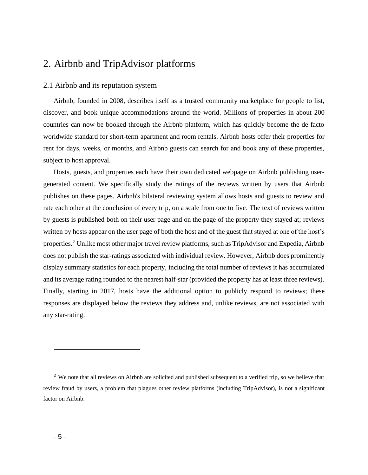# 2. Airbnb and TripAdvisor platforms

#### 2.1 Airbnb and its reputation system

Airbnb, founded in 2008, describes itself as a trusted community marketplace for people to list, discover, and book unique accommodations around the world. Millions of properties in about 200 countries can now be booked through the Airbnb platform, which has quickly become the de facto worldwide standard for short-term apartment and room rentals. Airbnb hosts offer their properties for rent for days, weeks, or months, and Airbnb guests can search for and book any of these properties, subject to host approval.

Hosts, guests, and properties each have their own dedicated webpage on Airbnb publishing usergenerated content. We specifically study the ratings of the reviews written by users that Airbnb publishes on these pages. Airbnb's bilateral reviewing system allows hosts and guests to review and rate each other at the conclusion of every trip, on a scale from one to five. The text of reviews written by guests is published both on their user page and on the page of the property they stayed at; reviews written by hosts appear on the user page of both the host and of the guest that stayed at one of the host's properties. <sup>2</sup> Unlike most other major travel review platforms, such as TripAdvisor and Expedia, Airbnb does not publish the star-ratings associated with individual review. However, Airbnb does prominently display summary statistics for each property, including the total number of reviews it has accumulated and its average rating rounded to the nearest half-star (provided the property has at least three reviews). Finally, starting in 2017, hosts have the additional option to publicly respond to reviews; these responses are displayed below the reviews they address and, unlike reviews, are not associated with any star-rating.

<sup>&</sup>lt;sup>2</sup> We note that all reviews on Airbnb are solicited and published subsequent to a verified trip, so we believe that review fraud by users, a problem that plagues other review platforms (including TripAdvisor), is not a significant factor on Airbnb.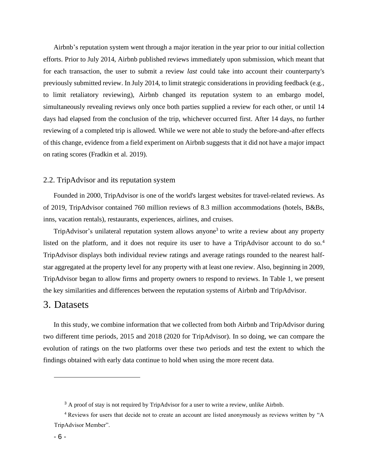Airbnb's reputation system went through a major iteration in the year prior to our initial collection efforts. Prior to July 2014, Airbnb published reviews immediately upon submission, which meant that for each transaction, the user to submit a review *last* could take into account their counterparty's previously submitted review. In July 2014, to limit strategic considerations in providing feedback (e.g., to limit retaliatory reviewing), Airbnb changed its reputation system to an embargo model, simultaneously revealing reviews only once both parties supplied a review for each other, or until 14 days had elapsed from the conclusion of the trip, whichever occurred first. After 14 days, no further reviewing of a completed trip is allowed. While we were not able to study the before-and-after effects of this change, evidence from a field experiment on Airbnb suggests that it did not have a major impact on rating scores (Fradkin et al. 2019).

#### 2.2. TripAdvisor and its reputation system

Founded in 2000, TripAdvisor is one of the world's largest websites for travel-related reviews. As of 2019, TripAdvisor contained 760 million reviews of 8.3 million accommodations (hotels, B&Bs, inns, vacation rentals), restaurants, experiences, airlines, and cruises.

TripAdvisor's unilateral reputation system allows anyone<sup>3</sup> to write a review about any property listed on the platform, and it does not require its user to have a TripAdvisor account to do so.<sup>4</sup> TripAdvisor displays both individual review ratings and average ratings rounded to the nearest halfstar aggregated at the property level for any property with at least one review. Also, beginning in 2009, TripAdvisor began to allow firms and property owners to respond to reviews. In Table 1, we present the key similarities and differences between the reputation systems of Airbnb and TripAdvisor.

### 3. Datasets

In this study, we combine information that we collected from both Airbnb and TripAdvisor during two different time periods, 2015 and 2018 (2020 for TripAdvisor). In so doing, we can compare the evolution of ratings on the two platforms over these two periods and test the extent to which the findings obtained with early data continue to hold when using the more recent data.

<sup>&</sup>lt;sup>3</sup> A proof of stay is not required by TripAdvisor for a user to write a review, unlike Airbnb.

<sup>4</sup> Reviews for users that decide not to create an account are listed anonymously as reviews written by "A TripAdvisor Member".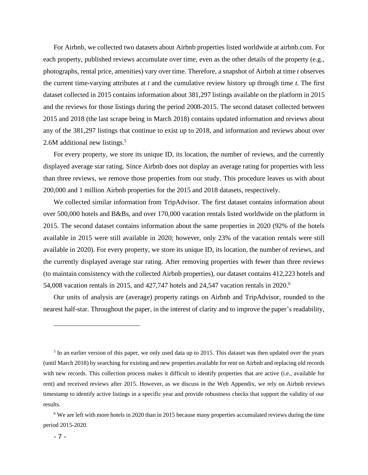For Airbnb, we collected two datasets about Airbnb properties listed worldwide at airbnb.com. For each property, published reviews accumulate over time, even as the other details of the property (e.g., photographs, rental price, amenities) vary over time. Therefore, a snapshot of Airbnb at time *t* observes the current time-varying attributes at *t* and the cumulative review history up through time *t.* The first dataset collected in 2015 contains information about 381,297 listings available on the platform in 2015 and the reviews for those listings during the period 2008-2015. The second dataset collected between 2015 and 2018 (the last scrape being in March 2018) contains updated information and reviews about any of the 381,297 listings that continue to exist up to 2018, and information and reviews about over 2.6M additional new listings. 5

For every property, we store its unique ID, its location, the number of reviews, and the currently displayed average star rating. Since Airbnb does not display an average rating for properties with less than three reviews, we remove those properties from our study. This procedure leaves us with about 200,000 and 1 million Airbnb properties for the 2015 and 2018 datasets, respectively.

We collected similar information from TripAdvisor. The first dataset contains information about over 500,000 hotels and B&Bs, and over 170,000 vacation rentals listed worldwide on the platform in 2015. The second dataset contains information about the same properties in 2020 (92% of the hotels available in 2015 were still available in 2020; however, only 23% of the vacation rentals were still available in 2020). For every property, we store its unique ID, its location, the number of reviews, and the currently displayed average star rating. After removing properties with fewer than three reviews (to maintain consistency with the collected Airbnb properties), our dataset contains 412,223 hotels and 54,008 vacation rentals in 2015, and 427,747 hotels and 24,547 vacation rentals in 2020.<sup>6</sup>

Our units of analysis are (average) property ratings on Airbnb and TripAdvisor, rounded to the nearest half-star. Throughout the paper, in the interest of clarity and to improve the paper's readability,

<sup>&</sup>lt;sup>5</sup> In an earlier version of this paper, we only used data up to 2015. This dataset was then updated over the years (until March 2018) by searching for existing and new properties available for rent on Airbnb and replacing old records with new records. This collection process makes it difficult to identify properties that are active (i.e., available for rent) and received reviews after 2015. However, as we discuss in the Web Appendix, we rely on Airbnb reviews timestamp to identify active listings in a specific year and provide robustness checks that support the validity of our results.

<sup>&</sup>lt;sup>6</sup> We are left with more hotels in 2020 than in 2015 because many properties accumulated reviews during the time period 2015-2020.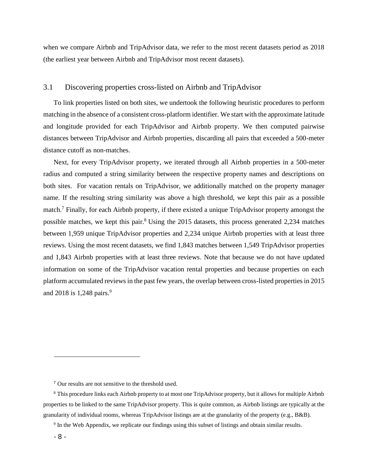when we compare Airbnb and TripAdvisor data, we refer to the most recent datasets period as 2018 (the earliest year between Airbnb and TripAdvisor most recent datasets).

### 3.1 Discovering properties cross-listed on Airbnb and TripAdvisor

To link properties listed on both sites, we undertook the following heuristic procedures to perform matching in the absence of a consistent cross-platform identifier. We start with the approximate latitude and longitude provided for each TripAdvisor and Airbnb property. We then computed pairwise distances between TripAdvisor and Airbnb properties, discarding all pairs that exceeded a 500-meter distance cutoff as non-matches.

Next, for every TripAdvisor property, we iterated through all Airbnb properties in a 500-meter radius and computed a string similarity between the respective property names and descriptions on both sites. For vacation rentals on TripAdvisor, we additionally matched on the property manager name. If the resulting string similarity was above a high threshold, we kept this pair as a possible match.<sup>7</sup> Finally, for each Airbnb property, if there existed a unique TripAdvisor property amongst the possible matches, we kept this pair.<sup>8</sup> Using the 2015 datasets, this process generated 2,234 matches between 1,959 unique TripAdvisor properties and 2,234 unique Airbnb properties with at least three reviews. Using the most recent datasets, we find 1,843 matches between 1,549 TripAdvisor properties and 1,843 Airbnb properties with at least three reviews. Note that because we do not have updated information on some of the TripAdvisor vacation rental properties and because properties on each platform accumulated reviews in the past few years, the overlap between cross-listed properties in 2015 and 2018 is  $1,248$  pairs.<sup>9</sup>

<sup>7</sup> Our results are not sensitive to the threshold used.

<sup>8</sup> This procedure links each Airbnb property to at most one TripAdvisor property, but it allows for multiple Airbnb properties to be linked to the same TripAdvisor property. This is quite common, as Airbnb listings are typically at the granularity of individual rooms, whereas TripAdvisor listings are at the granularity of the property (e.g., B&B).

<sup>&</sup>lt;sup>9</sup> In the Web Appendix, we replicate our findings using this subset of listings and obtain similar results.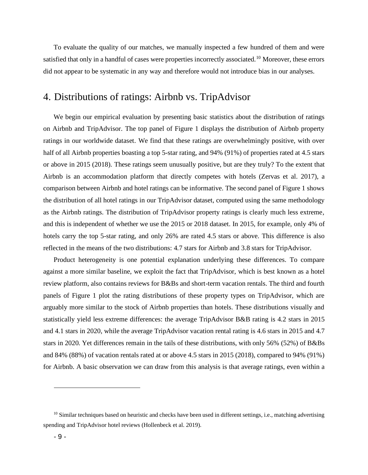To evaluate the quality of our matches, we manually inspected a few hundred of them and were satisfied that only in a handful of cases were properties incorrectly associated.<sup>10</sup> Moreover, these errors did not appear to be systematic in any way and therefore would not introduce bias in our analyses.

## 4. Distributions of ratings: Airbnb vs. TripAdvisor

We begin our empirical evaluation by presenting basic statistics about the distribution of ratings on Airbnb and TripAdvisor. The top panel of Figure 1 displays the distribution of Airbnb property ratings in our worldwide dataset. We find that these ratings are overwhelmingly positive, with over half of all Airbnb properties boasting a top 5-star rating, and 94% (91%) of properties rated at 4.5 stars or above in 2015 (2018). These ratings seem unusually positive, but are they truly? To the extent that Airbnb is an accommodation platform that directly competes with hotels (Zervas et al. 2017), a comparison between Airbnb and hotel ratings can be informative. The second panel of Figure 1 shows the distribution of all hotel ratings in our TripAdvisor dataset, computed using the same methodology as the Airbnb ratings. The distribution of TripAdvisor property ratings is clearly much less extreme, and this is independent of whether we use the 2015 or 2018 dataset. In 2015, for example, only 4% of hotels carry the top 5-star rating, and only 26% are rated 4.5 stars or above. This difference is also reflected in the means of the two distributions: 4.7 stars for Airbnb and 3.8 stars for TripAdvisor.

Product heterogeneity is one potential explanation underlying these differences. To compare against a more similar baseline, we exploit the fact that TripAdvisor, which is best known as a hotel review platform, also contains reviews for B&Bs and short-term vacation rentals. The third and fourth panels of Figure 1 plot the rating distributions of these property types on TripAdvisor, which are arguably more similar to the stock of Airbnb properties than hotels. These distributions visually and statistically yield less extreme differences: the average TripAdvisor B&B rating is 4.2 stars in 2015 and 4.1 stars in 2020, while the average TripAdvisor vacation rental rating is 4.6 stars in 2015 and 4.7 stars in 2020. Yet differences remain in the tails of these distributions, with only 56% (52%) of B&Bs and 84% (88%) of vacation rentals rated at or above 4.5 stars in 2015 (2018), compared to 94% (91%) for Airbnb. A basic observation we can draw from this analysis is that average ratings, even within a

 $10$  Similar techniques based on heuristic and checks have been used in different settings, i.e., matching advertising spending and TripAdvisor hotel reviews (Hollenbeck et al. 2019).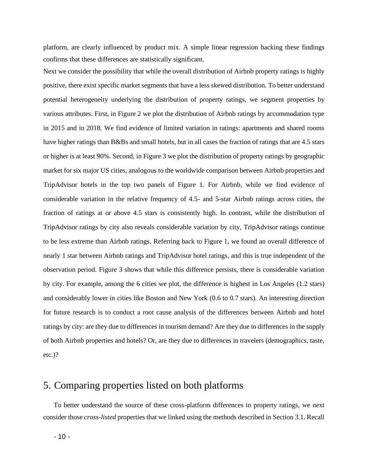platform, are clearly influenced by product mix. A simple linear regression backing these findings confirms that these differences are statistically significant.

Next we consider the possibility that while the overall distribution of Airbnb property ratings is highly positive, there exist specific market segments that have a less skewed distribution. To better understand potential heterogeneity underlying the distribution of property ratings, we segment properties by various attributes. First, in Figure 2 we plot the distribution of Airbnb ratings by accommodation type in 2015 and in 2018. We find evidence of limited variation in ratings: apartments and shared rooms have higher ratings than B&Bs and small hotels, but in all cases the fraction of ratings that are 4.5 stars or higher is at least 90%. Second, in Figure 3 we plot the distribution of property ratings by geographic market for six major US cities, analogous to the worldwide comparison between Airbnb properties and TripAdvisor hotels in the top two panels of Figure 1. For Airbnb, while we find evidence of considerable variation in the relative frequency of 4.5- and 5-star Airbnb ratings across cities, the fraction of ratings at or above 4.5 stars is consistently high. In contrast, while the distribution of TripAdvisor ratings by city also reveals considerable variation by city, TripAdvisor ratings continue to be less extreme than Airbnb ratings. Referring back to Figure 1, we found an overall difference of nearly 1 star between Airbnb ratings and TripAdvisor hotel ratings, and this is true independent of the observation period. Figure 3 shows that while this difference persists, there is considerable variation by city. For example, among the 6 cities we plot, the difference is highest in Los Angeles (1.2 stars) and considerably lower in cities like Boston and New York (0.6 to 0.7 stars). An interesting direction for future research is to conduct a root cause analysis of the differences between Airbnb and hotel ratings by city: are they due to differences in tourism demand? Are they due to differences in the supply of both Airbnb properties and hotels? Or, are they due to differences in travelers (demographics, taste, etc.)?

## 5. Comparing properties listed on both platforms

To better understand the source of these cross-platform differences in property ratings, we next consider those *cross-listed* properties that we linked using the methods described in Section 3.1. Recall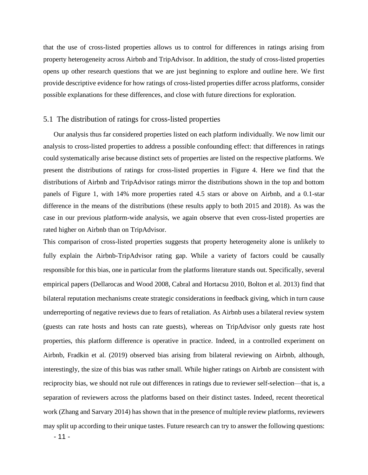that the use of cross-listed properties allows us to control for differences in ratings arising from property heterogeneity across Airbnb and TripAdvisor. In addition, the study of cross-listed properties opens up other research questions that we are just beginning to explore and outline here. We first provide descriptive evidence for how ratings of cross-listed properties differ across platforms, consider possible explanations for these differences, and close with future directions for exploration.

### 5.1 The distribution of ratings for cross-listed properties

Our analysis thus far considered properties listed on each platform individually. We now limit our analysis to cross-listed properties to address a possible confounding effect: that differences in ratings could systematically arise because distinct sets of properties are listed on the respective platforms. We present the distributions of ratings for cross-listed properties in Figure 4. Here we find that the distributions of Airbnb and TripAdvisor ratings mirror the distributions shown in the top and bottom panels of Figure 1, with 14% more properties rated 4.5 stars or above on Airbnb, and a 0.1-star difference in the means of the distributions (these results apply to both 2015 and 2018). As was the case in our previous platform-wide analysis, we again observe that even cross-listed properties are rated higher on Airbnb than on TripAdvisor.

This comparison of cross-listed properties suggests that property heterogeneity alone is unlikely to fully explain the Airbnb-TripAdvisor rating gap. While a variety of factors could be causally responsible for this bias, one in particular from the platforms literature stands out. Specifically, several empirical papers (Dellarocas and Wood 2008, Cabral and Hortacsu 2010, Bolton et al. 2013) find that bilateral reputation mechanisms create strategic considerations in feedback giving, which in turn cause underreporting of negative reviews due to fears of retaliation. As Airbnb uses a bilateral review system (guests can rate hosts and hosts can rate guests), whereas on TripAdvisor only guests rate host properties, this platform difference is operative in practice. Indeed, in a controlled experiment on Airbnb, Fradkin et al. (2019) observed bias arising from bilateral reviewing on Airbnb, although, interestingly, the size of this bias was rather small. While higher ratings on Airbnb are consistent with reciprocity bias, we should not rule out differences in ratings due to reviewer self-selection—that is, a separation of reviewers across the platforms based on their distinct tastes. Indeed, recent theoretical work (Zhang and Sarvary 2014) has shown that in the presence of multiple review platforms, reviewers may split up according to their unique tastes. Future research can try to answer the following questions: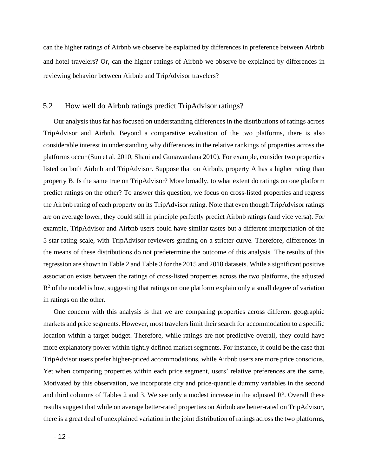can the higher ratings of Airbnb we observe be explained by differences in preference between Airbnb and hotel travelers? Or, can the higher ratings of Airbnb we observe be explained by differences in reviewing behavior between Airbnb and TripAdvisor travelers?

### 5.2 How well do Airbnb ratings predict TripAdvisor ratings?

Our analysis thus far has focused on understanding differences in the distributions of ratings across TripAdvisor and Airbnb. Beyond a comparative evaluation of the two platforms, there is also considerable interest in understanding why differences in the relative rankings of properties across the platforms occur (Sun et al. 2010, Shani and Gunawardana 2010). For example, consider two properties listed on both Airbnb and TripAdvisor. Suppose that on Airbnb, property A has a higher rating than property B. Is the same true on TripAdvisor? More broadly, to what extent do ratings on one platform predict ratings on the other? To answer this question, we focus on cross-listed properties and regress the Airbnb rating of each property on its TripAdvisor rating. Note that even though TripAdvisor ratings are on average lower, they could still in principle perfectly predict Airbnb ratings (and vice versa). For example, TripAdvisor and Airbnb users could have similar tastes but a different interpretation of the 5-star rating scale, with TripAdvisor reviewers grading on a stricter curve. Therefore, differences in the means of these distributions do not predetermine the outcome of this analysis. The results of this regression are shown in Table 2 and Table 3 for the 2015 and 2018 datasets. While a significant positive association exists between the ratings of cross-listed properties across the two platforms, the adjusted  $R<sup>2</sup>$  of the model is low, suggesting that ratings on one platform explain only a small degree of variation in ratings on the other.

One concern with this analysis is that we are comparing properties across different geographic markets and price segments. However, most travelers limit their search for accommodation to a specific location within a target budget. Therefore, while ratings are not predictive overall, they could have more explanatory power within tightly defined market segments. For instance, it could be the case that TripAdvisor users prefer higher-priced accommodations, while Airbnb users are more price conscious. Yet when comparing properties within each price segment, users' relative preferences are the same. Motivated by this observation, we incorporate city and price-quantile dummy variables in the second and third columns of Tables 2 and 3. We see only a modest increase in the adjusted  $\mathbb{R}^2$ . Overall these results suggest that while on average better-rated properties on Airbnb are better-rated on TripAdvisor, there is a great deal of unexplained variation in the joint distribution of ratings across the two platforms,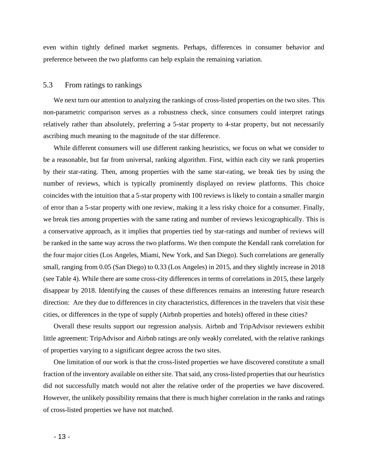even within tightly defined market segments. Perhaps, differences in consumer behavior and preference between the two platforms can help explain the remaining variation.

#### 5.3 From ratings to rankings

We next turn our attention to analyzing the rankings of cross-listed properties on the two sites. This non-parametric comparison serves as a robustness check, since consumers could interpret ratings relatively rather than absolutely, preferring a 5-star property to 4-star property, but not necessarily ascribing much meaning to the magnitude of the star difference.

While different consumers will use different ranking heuristics, we focus on what we consider to be a reasonable, but far from universal, ranking algorithm. First, within each city we rank properties by their star-rating. Then, among properties with the same star-rating, we break ties by using the number of reviews, which is typically prominently displayed on review platforms. This choice coincides with the intuition that a 5-star property with 100 reviews is likely to contain a smaller margin of error than a 5-star property with one review, making it a less risky choice for a consumer. Finally, we break ties among properties with the same rating and number of reviews lexicographically. This is a conservative approach, as it implies that properties tied by star-ratings and number of reviews will be ranked in the same way across the two platforms. We then compute the Kendall rank correlation for the four major cities (Los Angeles, Miami, New York, and San Diego). Such correlations are generally small, ranging from 0.05 (San Diego) to 0.33 (Los Angeles) in 2015, and they slightly increase in 2018 (see Table 4). While there are some cross-city differences in terms of correlations in 2015, these largely disappear by 2018. Identifying the causes of these differences remains an interesting future research direction: Are they due to differences in city characteristics, differences in the travelers that visit these cities, or differences in the type of supply (Airbnb properties and hotels) offered in these cities?

Overall these results support our regression analysis. Airbnb and TripAdvisor reviewers exhibit little agreement: TripAdvisor and Airbnb ratings are only weakly correlated, with the relative rankings of properties varying to a significant degree across the two sites.

One limitation of our work is that the cross-listed properties we have discovered constitute a small fraction of the inventory available on either site. That said, any cross-listed properties that our heuristics did not successfully match would not alter the relative order of the properties we have discovered. However, the unlikely possibility remains that there is much higher correlation in the ranks and ratings of cross-listed properties we have not matched.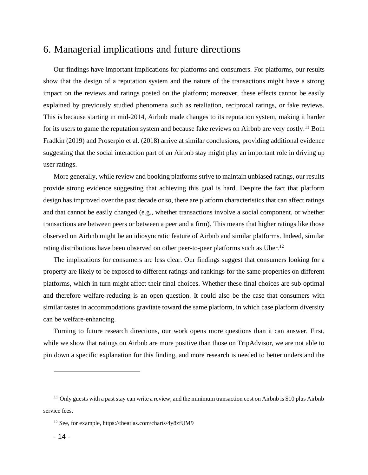## 6. Managerial implications and future directions

Our findings have important implications for platforms and consumers. For platforms, our results show that the design of a reputation system and the nature of the transactions might have a strong impact on the reviews and ratings posted on the platform; moreover, these effects cannot be easily explained by previously studied phenomena such as retaliation, reciprocal ratings, or fake reviews. This is because starting in mid-2014, Airbnb made changes to its reputation system, making it harder for its users to game the reputation system and because fake reviews on Airbnb are very costly.<sup>11</sup> Both Fradkin (2019) and Proserpio et al. (2018) arrive at similar conclusions, providing additional evidence suggesting that the social interaction part of an Airbnb stay might play an important role in driving up user ratings.

More generally, while review and booking platforms strive to maintain unbiased ratings, our results provide strong evidence suggesting that achieving this goal is hard. Despite the fact that platform design has improved over the past decade or so, there are platform characteristics that can affect ratings and that cannot be easily changed (e.g., whether transactions involve a social component, or whether transactions are between peers or between a peer and a firm). This means that higher ratings like those observed on Airbnb might be an idiosyncratic feature of Airbnb and similar platforms. Indeed, similar rating distributions have been observed on other peer-to-peer platforms such as Uber.<sup>12</sup>

The implications for consumers are less clear. Our findings suggest that consumers looking for a property are likely to be exposed to different ratings and rankings for the same properties on different platforms, which in turn might affect their final choices. Whether these final choices are sub-optimal and therefore welfare-reducing is an open question. It could also be the case that consumers with similar tastes in accommodations gravitate toward the same platform, in which case platform diversity can be welfare-enhancing.

Turning to future research directions, our work opens more questions than it can answer. First, while we show that ratings on Airbnb are more positive than those on TripAdvisor, we are not able to pin down a specific explanation for this finding, and more research is needed to better understand the

<sup>&</sup>lt;sup>11</sup> Only guests with a past stay can write a review, and the minimum transaction cost on Airbnb is \$10 plus Airbnb service fees.

<sup>12</sup> See, for example, https://theatlas.com/charts/4y8zfUM9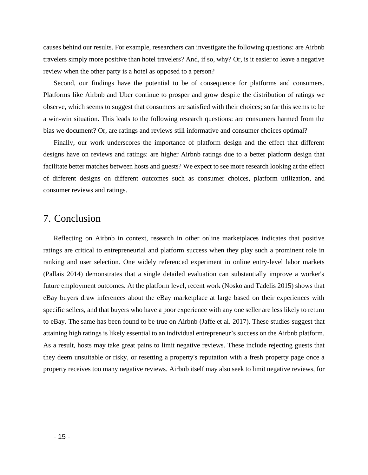causes behind our results. For example, researchers can investigate the following questions: are Airbnb travelers simply more positive than hotel travelers? And, if so, why? Or, is it easier to leave a negative review when the other party is a hotel as opposed to a person?

Second, our findings have the potential to be of consequence for platforms and consumers. Platforms like Airbnb and Uber continue to prosper and grow despite the distribution of ratings we observe, which seems to suggest that consumers are satisfied with their choices; so far this seems to be a win-win situation. This leads to the following research questions: are consumers harmed from the bias we document? Or, are ratings and reviews still informative and consumer choices optimal?

Finally, our work underscores the importance of platform design and the effect that different designs have on reviews and ratings: are higher Airbnb ratings due to a better platform design that facilitate better matches between hosts and guests? We expect to see more research looking at the effect of different designs on different outcomes such as consumer choices, platform utilization, and consumer reviews and ratings.

## 7. Conclusion

Reflecting on Airbnb in context, research in other online marketplaces indicates that positive ratings are critical to entrepreneurial and platform success when they play such a prominent role in ranking and user selection. One widely referenced experiment in online entry-level labor markets (Pallais 2014) demonstrates that a single detailed evaluation can substantially improve a worker's future employment outcomes. At the platform level, recent work (Nosko and Tadelis 2015) shows that eBay buyers draw inferences about the eBay marketplace at large based on their experiences with specific sellers, and that buyers who have a poor experience with any one seller are less likely to return to eBay. The same has been found to be true on Airbnb (Jaffe et al. 2017). These studies suggest that attaining high ratings is likely essential to an individual entrepreneur's success on the Airbnb platform. As a result, hosts may take great pains to limit negative reviews. These include rejecting guests that they deem unsuitable or risky, or resetting a property's reputation with a fresh property page once a property receives too many negative reviews. Airbnb itself may also seek to limit negative reviews, for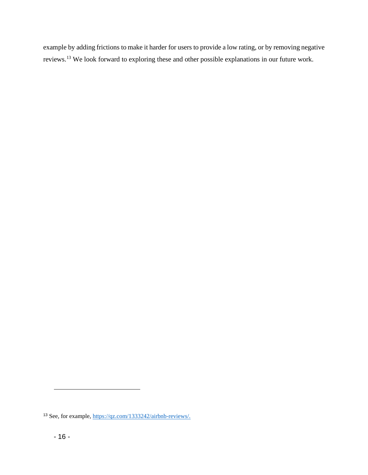example by adding frictions to make it harder for users to provide a low rating, or by removing negative reviews.<sup>13</sup> We look forward to exploring these and other possible explanations in our future work.

<sup>13</sup> See, for example, [https://qz.com/1333242/airbnb-reviews/.](https://qz.com/1333242/airbnb-reviews/)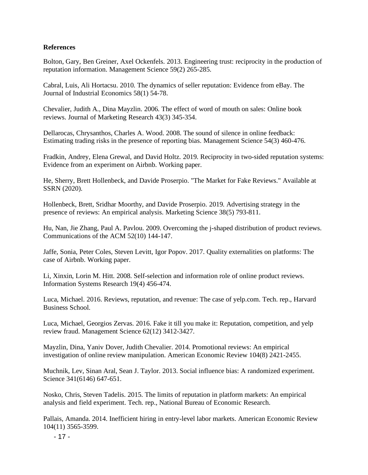### **References**

Bolton, Gary, Ben Greiner, Axel Ockenfels. 2013. Engineering trust: reciprocity in the production of reputation information. Management Science 59(2) 265-285.

Cabral, Luis, Ali Hortacsu. 2010. The dynamics of seller reputation: Evidence from eBay. The Journal of Industrial Economics 58(1) 54-78.

Chevalier, Judith A., Dina Mayzlin. 2006. The effect of word of mouth on sales: Online book reviews. Journal of Marketing Research 43(3) 345-354.

Dellarocas, Chrysanthos, Charles A. Wood. 2008. The sound of silence in online feedback: Estimating trading risks in the presence of reporting bias. Management Science 54(3) 460-476.

Fradkin, Andrey, Elena Grewal, and David Holtz. 2019. Reciprocity in two-sided reputation systems: Evidence from an experiment on Airbnb. Working paper.

He, Sherry, Brett Hollenbeck, and Davide Proserpio. "The Market for Fake Reviews." Available at SSRN (2020).

Hollenbeck, Brett, Sridhar Moorthy, and Davide Proserpio. 2019. Advertising strategy in the presence of reviews: An empirical analysis. Marketing Science 38(5) 793-811.

Hu, Nan, Jie Zhang, Paul A. Pavlou. 2009. Overcoming the j-shaped distribution of product reviews. Communications of the ACM 52(10) 144-147.

Jaffe, Sonia, Peter Coles, Steven Levitt, Igor Popov. 2017. Quality externalities on platforms: The case of Airbnb. Working paper.

Li, Xinxin, Lorin M. Hitt. 2008. Self-selection and information role of online product reviews. Information Systems Research 19(4) 456-474.

Luca, Michael. 2016. Reviews, reputation, and revenue: The case of yelp.com. Tech. rep., Harvard Business School.

Luca, Michael, Georgios Zervas. 2016. Fake it till you make it: Reputation, competition, and yelp review fraud. Management Science 62(12) 3412-3427.

Mayzlin, Dina, Yaniv Dover, Judith Chevalier. 2014. Promotional reviews: An empirical investigation of online review manipulation. American Economic Review 104(8) 2421-2455.

Muchnik, Lev, Sinan Aral, Sean J. Taylor. 2013. Social influence bias: A randomized experiment. Science 341(6146) 647-651.

Nosko, Chris, Steven Tadelis. 2015. The limits of reputation in platform markets: An empirical analysis and field experiment. Tech. rep., National Bureau of Economic Research.

Pallais, Amanda. 2014. Inefficient hiring in entry-level labor markets. American Economic Review 104(11) 3565-3599.

- 17 -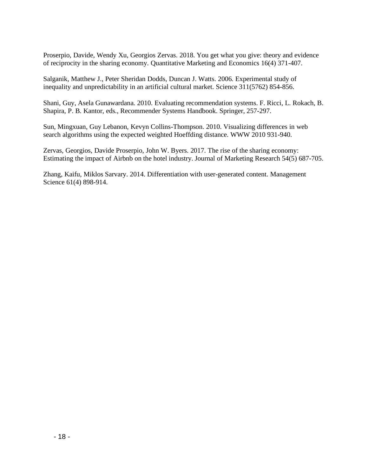Proserpio, Davide, Wendy Xu, Georgios Zervas. 2018. You get what you give: theory and evidence of reciprocity in the sharing economy. Quantitative Marketing and Economics 16(4) 371-407.

Salganik, Matthew J., Peter Sheridan Dodds, Duncan J. Watts. 2006. Experimental study of inequality and unpredictability in an artificial cultural market. Science 311(5762) 854-856.

Shani, Guy, Asela Gunawardana. 2010. Evaluating recommendation systems. F. Ricci, L. Rokach, B. Shapira, P. B. Kantor, eds., Recommender Systems Handbook. Springer, 257-297.

Sun, Mingxuan, Guy Lebanon, Kevyn Collins-Thompson. 2010. Visualizing differences in web search algorithms using the expected weighted Hoeffding distance. WWW 2010 931-940.

Zervas, Georgios, Davide Proserpio, John W. Byers. 2017. The rise of the sharing economy: Estimating the impact of Airbnb on the hotel industry. Journal of Marketing Research 54(5) 687-705.

Zhang, Kaifu, Miklos Sarvary. 2014. Differentiation with user-generated content. Management Science 61(4) 898-914.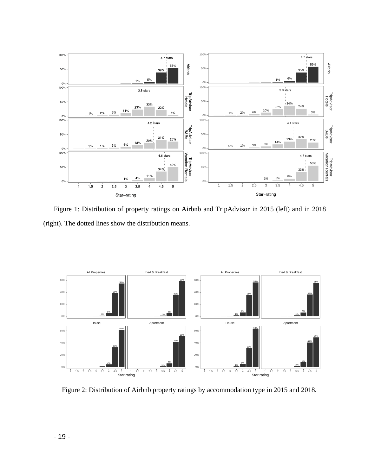

Figure 1: Distribution of property ratings on Airbnb and TripAdvisor in 2015 (left) and in 2018 (right). The dotted lines show the distribution means.



Figure 2: Distribution of Airbnb property ratings by accommodation type in 2015 and 2018.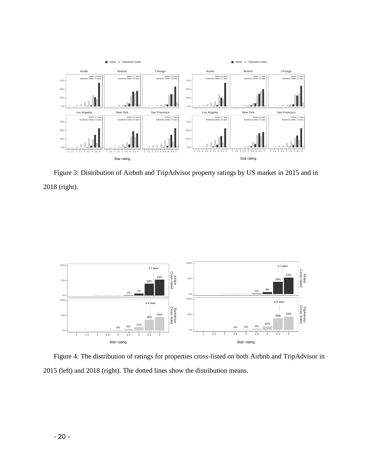

Figure 3: Distribution of Airbnb and TripAdvisor property ratings by US market in 2015 and in 2018 (right).



Figure 4: The distribution of ratings for properties cross-listed on both Airbnb and TripAdvisor in 2015 (left) and 2018 (right). The dotted lines show the distribution means.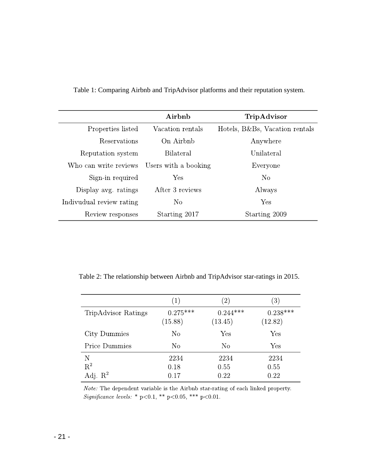|                                            | Airbnb           | TripAdvisor                    |
|--------------------------------------------|------------------|--------------------------------|
| Properties listed                          | Vacation rentals | Hotels, B&Bs, Vacation rentals |
| Reservations                               | On Airbnb        | Anywhere                       |
| Reputation system                          | <b>Bilateral</b> | Unilateral                     |
| Who can write reviews Users with a booking |                  | Everyone                       |
| Sign-in required                           | <b>Yes</b>       | $\rm No$                       |
| Display avg. ratings                       | After 3 reviews  | Always                         |
| Indivudual review rating                   | N <sub>o</sub>   | Yes                            |
| Review responses                           | Starting 2017    | Starting 2009                  |

Table 1: Comparing Airbnb and TripAdvisor platforms and their reputation system.

Table 2: The relationship between Airbnb and TripAdvisor star-ratings in 2015.

|                      | $\left( 1\right)$     | 2)                    | $\left( 3\right)$     |
|----------------------|-----------------------|-----------------------|-----------------------|
| TripAdvisor Ratings  | $0.275***$<br>(15.88) | $0.244***$<br>(13.45) | $0.238***$<br>(12.82) |
| City Dummies         | No                    | $\operatorname{Yes}$  | Yes                   |
| <b>Price Dummies</b> | No                    | $\rm No$              | $\operatorname{Yes}$  |
| Ν                    | 2234                  | 2234                  | 2234                  |
| $R^2$                | 0.18                  | 0.55                  | 0.55                  |
| Adj. $R^2$           | 0.17                  | 0.22                  | 0.22                  |

 $\it Note\rm:$  The dependent variable is the Airbnb star-rating of each linked property. Significance levels: \* p<0.1, \*\* p<0.05, \*\*\* p<0.01.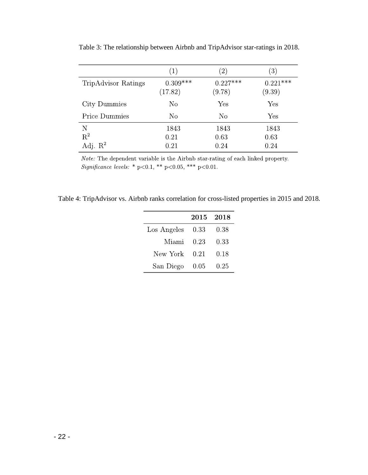|                      | $\left( 1\right)$     | $\left( 2\right)$    | $\left( 3\right)$    |
|----------------------|-----------------------|----------------------|----------------------|
| TripAdvisor Ratings  | $0.309***$<br>(17.82) | $0.227***$<br>(9.78) | $0.221***$<br>(9.39) |
| City Dummies         | $\rm No$              | Yes                  | Yes                  |
| <b>Price Dummies</b> | $\rm No$              | $\rm No$             | Yes                  |
| N                    | 1843                  | 1843                 | 1843                 |
| $R^2$                | 0.21                  | 0.63                 | 0.63                 |
| Adj. $\mathbb{R}^2$  | 0.21                  | 0.24                 | 0.24                 |

Table 3: The relationship between Airbnb and TripAdvisor star-ratings in 2018.

 $Note:$  The dependent variable is the Airbnb star-rating of each linked property.  $\label{eq:3} Significance~levels:~^*~\text{p<0.1},~^{**}~\text{p<0.05},~^{***}~\text{p<0.01}.$ 

Table 4: TripAdvisor vs. Airbnb ranks correlation for cross-listed properties in 2015 and 2018.

|             | 2015 | -2018 |
|-------------|------|-------|
| Los Angeles | 0.33 | 0.38  |
| Miami       | 0.23 | 0.33  |
| New York    | 0.21 | 0.18  |
| San Diego   | 0.05 | 0.25  |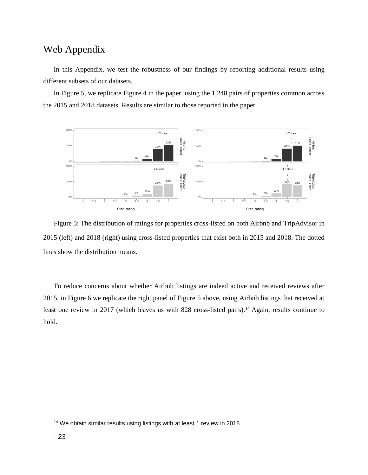# Web Appendix

In this Appendix, we test the robustness of our findings by reporting additional results using different subsets of our datasets.

In Figure 5, we replicate Figure 4 in the paper, using the 1,248 pairs of properties common across the 2015 and 2018 datasets. Results are similar to those reported in the paper.



Figure 5: The distribution of ratings for properties cross-listed on both Airbnb and TripAdvisor in 2015 (left) and 2018 (right) using cross-listed properties that exist both in 2015 and 2018. The dotted lines show the distribution means.

To reduce concerns about whether Airbnb listings are indeed active and received reviews after 2015, in Figure 6 we replicate the right panel of Figure 5 above, using Airbnb listings that received at least one review in 2017 (which leaves us with 828 cross-listed pairs).<sup>14</sup> Again, results continue to hold.

<sup>&</sup>lt;sup>14</sup> We obtain similar results using listings with at least 1 review in 2018.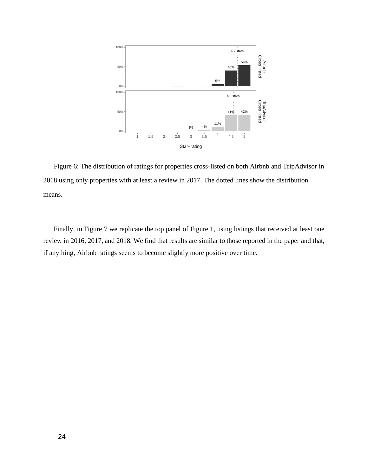

Figure 6: The distribution of ratings for properties cross-listed on both Airbnb and TripAdvisor in 2018 using only properties with at least a review in 2017. The dotted lines show the distribution means.

Finally, in Figure 7 we replicate the top panel of Figure 1, using listings that received at least one review in 2016, 2017, and 2018. We find that results are similar to those reported in the paper and that, if anything, Airbnb ratings seems to become slightly more positive over time.